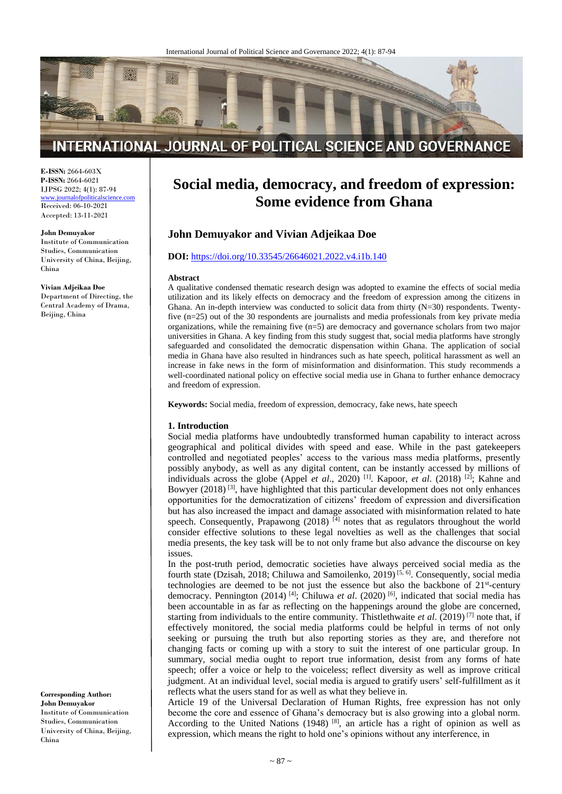

# INTERNATIONAL JOURNAL OF POLITICAL SCIENCE AND GOVERNANCE

**E-ISSN:** 2664-603X **P-ISSN:** 2664-6021 IJPSG 2022; 4(1): 87-94

[www.journalofpoliticalscience.com](http://www.journalofpoliticalscience.com/) Received: 06-10-2021 Accepted: 13-11-2021

#### **John Demuyakor**

Institute of Communication Studies, Communication University of China, Beijing, China

#### **Vivian Adjeikaa Doe**

Department of Directing, the Central Academy of Drama, Beijing, China

**Social media, democracy, and freedom of expression: Some evidence from Ghana**

# **John Demuyakor and Vivian Adjeikaa Doe**

#### **DOI:** <https://doi.org/10.33545/26646021.2022.v4.i1b.140>

#### **Abstract**

A qualitative condensed thematic research design was adopted to examine the effects of social media utilization and its likely effects on democracy and the freedom of expression among the citizens in Ghana. An in-depth interview was conducted to solicit data from thirty (N=30) respondents. Twentyfive (n=25) out of the 30 respondents are journalists and media professionals from key private media organizations, while the remaining five (n=5) are democracy and governance scholars from two major universities in Ghana. A key finding from this study suggest that, social media platforms have strongly safeguarded and consolidated the democratic dispensation within Ghana. The application of social media in Ghana have also resulted in hindrances such as hate speech, political harassment as well an increase in fake news in the form of misinformation and disinformation. This study recommends a well-coordinated national policy on effective social media use in Ghana to further enhance democracy and freedom of expression.

**Keywords:** Social media, freedom of expression, democracy, fake news, hate speech

#### **1. Introduction**

Social media platforms have undoubtedly transformed human capability to interact across geographical and political divides with speed and ease. While in the past gatekeepers controlled and negotiated peoples' access to the various mass media platforms, presently possibly anybody, as well as any digital content, can be instantly accessed by millions of individuals across the globe (Appel *et al.*, 2020)<sup>[1]</sup>. Kapoor, *et al.* (2018)<sup>[2]</sup>; Kahne and Bowyer (2018)<sup>[3]</sup>, have highlighted that this particular development does not only enhances opportunities for the democratization of citizens' freedom of expression and diversification but has also increased the impact and damage associated with misinformation related to hate speech. Consequently, Prapawong (2018)  $\overline{[4]}$  notes that as regulators throughout the world consider effective solutions to these legal novelties as well as the challenges that social media presents, the key task will be to not only frame but also advance the discourse on key issues.

In the post-truth period, democratic societies have always perceived social media as the fourth state (Dzisah, 2018; Chiluwa and Samoilenko, 2019)<sup>[5, 6]</sup>. Consequently, social media technologies are deemed to be not just the essence but also the backbone of  $21<sup>st</sup>$ -century democracy. Pennington (2014)<sup>[4]</sup>; Chiluwa *et al.* (2020)<sup>[6]</sup>, indicated that social media has been accountable in as far as reflecting on the happenings around the globe are concerned, starting from individuals to the entire community. Thistlethwaite *et al*. (2019) [7] note that, if effectively monitored, the social media platforms could be helpful in terms of not only seeking or pursuing the truth but also reporting stories as they are, and therefore not changing facts or coming up with a story to suit the interest of one particular group. In summary, social media ought to report true information, desist from any forms of hate speech; offer a voice or help to the voiceless; reflect diversity as well as improve critical judgment. At an individual level, social media is argued to gratify users' self-fulfillment as it reflects what the users stand for as well as what they believe in.

Article 19 of the Universal Declaration of Human Rights, free expression has not only become the core and essence of Ghana's democracy but is also growing into a global norm. According to the United Nations  $(1948)$  [8], an article has a right of opinion as well as expression, which means the right to hold one's opinions without any interference, in

**Corresponding Author: John Demuyakor** Institute of Communication Studies, Communication University of China, Beijing, China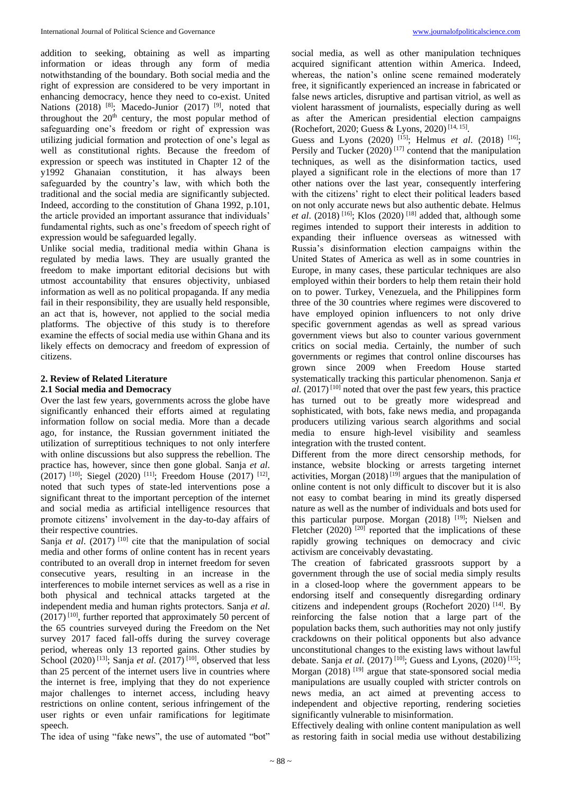addition to seeking, obtaining as well as imparting information or ideas through any form of media notwithstanding of the boundary. Both social media and the right of expression are considered to be very important in enhancing democracy, hence they need to co-exist. United Nations (2018) <sup>[8]</sup>; Macedo-Junior (2017) <sup>[9]</sup>, noted that throughout the  $20<sup>th</sup>$  century, the most popular method of safeguarding one's freedom or right of expression was utilizing judicial formation and protection of one's legal as well as constitutional rights. Because the freedom of expression or speech was instituted in Chapter 12 of the y1992 Ghanaian constitution, it has always been safeguarded by the country's law, with which both the traditional and the social media are significantly subjected. Indeed, according to the constitution of Ghana 1992, p.101, the article provided an important assurance that individuals' fundamental rights, such as one's freedom of speech right of expression would be safeguarded legally.

Unlike social media, traditional media within Ghana is regulated by media laws. They are usually granted the freedom to make important editorial decisions but with utmost accountability that ensures objectivity, unbiased information as well as no political propaganda. If any media fail in their responsibility, they are usually held responsible, an act that is, however, not applied to the social media platforms. The objective of this study is to therefore examine the effects of social media use within Ghana and its likely effects on democracy and freedom of expression of citizens.

#### **2. Review of Related Literature 2.1 Social media and Democracy**

Over the last few years, governments across the globe have significantly enhanced their efforts aimed at regulating information follow on social media. More than a decade ago, for instance, the Russian government initiated the utilization of surreptitious techniques to not only interfere with online discussions but also suppress the rebellion. The practice has, however, since then gone global. Sanja *et al*.  $(2017)$  <sup>[10]</sup>; Siegel  $(2020)$  <sup>[11]</sup>; Freedom House  $(2017)$  <sup>[12]</sup>, noted that such types of state-led interventions pose a significant threat to the important perception of the internet and social media as artificial intelligence resources that promote citizens' involvement in the day-to-day affairs of their respective countries.

Sanja *et al.* (2017)<sup>[10]</sup> cite that the manipulation of social media and other forms of online content has in recent years contributed to an overall drop in internet freedom for seven consecutive years, resulting in an increase in the interferences to mobile internet services as well as a rise in both physical and technical attacks targeted at the independent media and human rights protectors. Sanja *et al*. (2017)<sup>[10]</sup>, further reported that approximately 50 percent of the 65 countries surveyed during the Freedom on the Net survey 2017 faced fall-offs during the survey coverage period, whereas only 13 reported gains. Other studies by School  $(2020)$ <sup>[13]</sup>; Sanja *et al.*  $(2017)$ <sup>[10]</sup>, observed that less than 25 percent of the internet users live in countries where the internet is free, implying that they do not experience major challenges to internet access, including heavy restrictions on online content, serious infringement of the user rights or even unfair ramifications for legitimate speech.

The idea of using "fake news", the use of automated "bot"

social media, as well as other manipulation techniques acquired significant attention within America. Indeed, whereas, the nation's online scene remained moderately free, it significantly experienced an increase in fabricated or false news articles, disruptive and partisan vitriol, as well as violent harassment of journalists, especially during as well as after the American presidential election campaigns (Rochefort, 2020; Guess & Lyons, 2020)<sup>[14, 15]</sup>.

Guess and Lyons (2020) <sup>[15]</sup>; Helmus *et al.* (2018) <sup>[16]</sup>; Persily and Tucker  $(2020)$ <sup>[17]</sup> contend that the manipulation techniques, as well as the disinformation tactics, used played a significant role in the elections of more than 17 other nations over the last year, consequently interfering with the citizens' right to elect their political leaders based on not only accurate news but also authentic debate. Helmus *et al.* (2018)<sup>[16]</sup>; Klos (2020)<sup>[18]</sup> added that, although some regimes intended to support their interests in addition to expanding their influence overseas as witnessed with Russia's disinformation election campaigns within the United States of America as well as in some countries in Europe, in many cases, these particular techniques are also employed within their borders to help them retain their hold on to power. Turkey, Venezuela, and the Philippines form three of the 30 countries where regimes were discovered to have employed opinion influencers to not only drive specific government agendas as well as spread various government views but also to counter various government critics on social media. Certainly, the number of such governments or regimes that control online discourses has grown since 2009 when Freedom House started systematically tracking this particular phenomenon. Sanja *et*   $al.$  (2017)<sup>[10]</sup> noted that over the past few years, this practice has turned out to be greatly more widespread and sophisticated, with bots, fake news media, and propaganda producers utilizing various search algorithms and social media to ensure high-level visibility and seamless integration with the trusted content.

Different from the more direct censorship methods, for instance, website blocking or arrests targeting internet activities, Morgan  $(2018)^{19}$  argues that the manipulation of online content is not only difficult to discover but it is also not easy to combat bearing in mind its greatly dispersed nature as well as the number of individuals and bots used for this particular purpose. Morgan (2018) [19]; Nielsen and Fletcher  $(2020)$ <sup>[20]</sup> reported that the implications of these rapidly growing techniques on democracy and civic activism are conceivably devastating.

The creation of fabricated grassroots support by a government through the use of social media simply results in a closed-loop where the government appears to be endorsing itself and consequently disregarding ordinary citizens and independent groups (Rochefort 2020) [14] . By reinforcing the false notion that a large part of the population backs them, such authorities may not only justify crackdowns on their political opponents but also advance unconstitutional changes to the existing laws without lawful debate. Sanja *et al.* (2017)<sup>[10]</sup>; Guess and Lyons, (2020)<sup>[15]</sup>; Morgan (2018)<sup>[19]</sup> argue that state-sponsored social media manipulations are usually coupled with stricter controls on news media, an act aimed at preventing access to independent and objective reporting, rendering societies significantly vulnerable to misinformation.

Effectively dealing with online content manipulation as well as restoring faith in social media use without destabilizing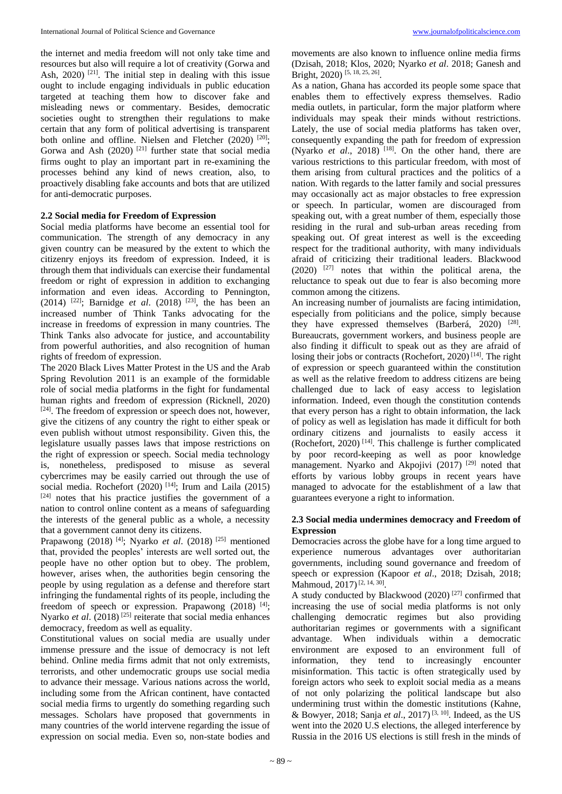the internet and media freedom will not only take time and resources but also will require a lot of creativity (Gorwa and Ash,  $2020$ <sup>[21]</sup>. The initial step in dealing with this issue ought to include engaging individuals in public education targeted at teaching them how to discover fake and misleading news or commentary. Besides, democratic societies ought to strengthen their regulations to make certain that any form of political advertising is transparent both online and offline. Nielsen and Fletcher (2020) [20]; Gorwa and Ash  $(2020)$ <sup>[21]</sup> further state that social media firms ought to play an important part in re-examining the processes behind any kind of news creation, also, to proactively disabling fake accounts and bots that are utilized for anti-democratic purposes.

### **2.2 Social media for Freedom of Expression**

Social media platforms have become an essential tool for communication. The strength of any democracy in any given country can be measured by the extent to which the citizenry enjoys its freedom of expression. Indeed, it is through them that individuals can exercise their fundamental freedom or right of expression in addition to exchanging information and even ideas. According to Pennington, (2014) <sup>[22]</sup>; Barnidge *et al.* (2018) <sup>[23]</sup>, the has been an increased number of Think Tanks advocating for the increase in freedoms of expression in many countries. The Think Tanks also advocate for justice, and accountability from powerful authorities, and also recognition of human rights of freedom of expression.

The 2020 Black Lives Matter Protest in the US and the Arab Spring Revolution 2011 is an example of the formidable role of social media platforms in the fight for fundamental human rights and freedom of expression (Ricknell, 2020) [24]. The freedom of expression or speech does not, however, give the citizens of any country the right to either speak or even publish without utmost responsibility. Given this, the legislature usually passes laws that impose restrictions on the right of expression or speech. Social media technology is, nonetheless, predisposed to misuse as several cybercrimes may be easily carried out through the use of social media. Rochefort (2020)<sup>[14]</sup>; Irum and Laila (2015) [24] notes that his practice justifies the government of a nation to control online content as a means of safeguarding the interests of the general public as a whole, a necessity that a government cannot deny its citizens.

Prapawong (2018)<sup>[4]</sup>; Nyarko *et al.* (2018)<sup>[25]</sup> mentioned that, provided the peoples' interests are well sorted out, the people have no other option but to obey. The problem, however, arises when, the authorities begin censoring the people by using regulation as a defense and therefore start infringing the fundamental rights of its people, including the freedom of speech or expression. Prapawong (2018) [4]; Nyarko *et al.* (2018)<sup>[25]</sup> reiterate that social media enhances democracy, freedom as well as equality.

Constitutional values on social media are usually under immense pressure and the issue of democracy is not left behind. Online media firms admit that not only extremists, terrorists, and other undemocratic groups use social media to advance their message. Various nations across the world, including some from the African continent, have contacted social media firms to urgently do something regarding such messages. Scholars have proposed that governments in many countries of the world intervene regarding the issue of expression on social media. Even so, non-state bodies and movements are also known to influence online media firms (Dzisah, 2018; Klos, 2020; Nyarko *et al*. 2018; Ganesh and Bright, 2020)<sup>[5, 18, 25, 26]</sup>.

As a nation, Ghana has accorded its people some space that enables them to effectively express themselves. Radio media outlets, in particular, form the major platform where individuals may speak their minds without restrictions. Lately, the use of social media platforms has taken over, consequently expanding the path for freedom of expression (Nyarko *et al.*, 2018)<sup>[18]</sup>. On the other hand, there are various restrictions to this particular freedom, with most of them arising from cultural practices and the politics of a nation. With regards to the latter family and social pressures may occasionally act as major obstacles to free expression or speech. In particular, women are discouraged from speaking out, with a great number of them, especially those residing in the rural and sub-urban areas receding from speaking out. Of great interest as well is the exceeding respect for the traditional authority, with many individuals afraid of criticizing their traditional leaders. Blackwood (2020) [27] notes that within the political arena, the reluctance to speak out due to fear is also becoming more common among the citizens.

An increasing number of journalists are facing intimidation, especially from politicians and the police, simply because they have expressed themselves (Barberá, 2020) <sup>[28]</sup>. Bureaucrats, government workers, and business people are also finding it difficult to speak out as they are afraid of losing their jobs or contracts (Rochefort, 2020)<sup>[14]</sup>. The right of expression or speech guaranteed within the constitution as well as the relative freedom to address citizens are being challenged due to lack of easy access to legislation information. Indeed, even though the constitution contends that every person has a right to obtain information, the lack of policy as well as legislation has made it difficult for both ordinary citizens and journalists to easily access it (Rochefort, 2020) [14] . This challenge is further complicated by poor record-keeping as well as poor knowledge management. Nyarko and Akpojivi (2017)<sup>[29]</sup> noted that efforts by various lobby groups in recent years have managed to advocate for the establishment of a law that guarantees everyone a right to information.

# **2.3 Social media undermines democracy and Freedom of Expression**

Democracies across the globe have for a long time argued to experience numerous advantages over authoritarian governments, including sound governance and freedom of speech or expression (Kapoor *et al*., 2018; Dzisah, 2018; Mahmoud, 2017)<sup>[2, 14, 30]</sup>.

A study conducted by Blackwood  $(2020)$ <sup>[27]</sup> confirmed that increasing the use of social media platforms is not only challenging democratic regimes but also providing authoritarian regimes or governments with a significant advantage. When individuals within a democratic environment are exposed to an environment full of information, they tend to increasingly encounter misinformation. This tactic is often strategically used by foreign actors who seek to exploit social media as a means of not only polarizing the political landscape but also undermining trust within the domestic institutions (Kahne, & Bowyer, 2018; Sanja *et al*., 2017) [3, 10] . Indeed, as the US went into the 2020 U.S elections, the alleged interference by Russia in the 2016 US elections is still fresh in the minds of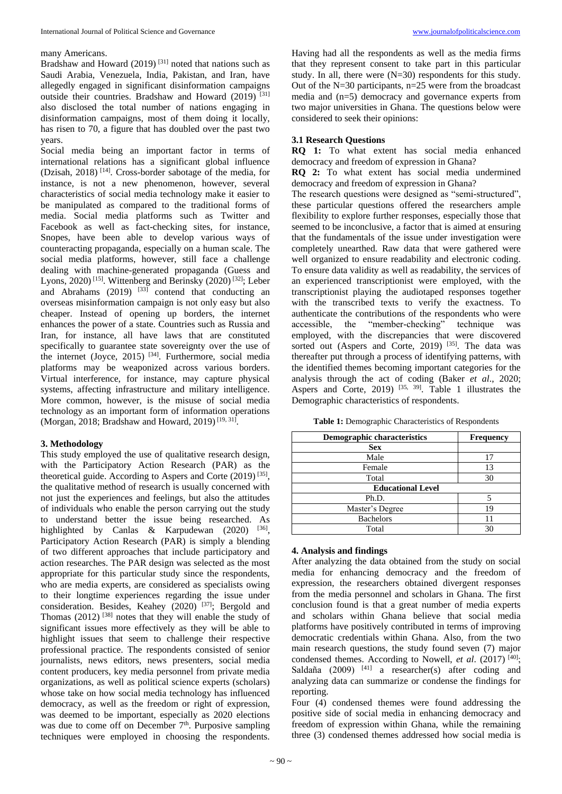#### many Americans.

Bradshaw and Howard  $(2019)$ <sup>[31]</sup> noted that nations such as Saudi Arabia, Venezuela, India, Pakistan, and Iran, have allegedly engaged in significant disinformation campaigns outside their countries. Bradshaw and Howard (2019) [31] also disclosed the total number of nations engaging in disinformation campaigns, most of them doing it locally, has risen to 70, a figure that has doubled over the past two years.

Social media being an important factor in terms of international relations has a significant global influence (Dzisah, 2018) [14] . Cross-border sabotage of the media, for instance, is not a new phenomenon, however, several characteristics of social media technology make it easier to be manipulated as compared to the traditional forms of media. Social media platforms such as Twitter and Facebook as well as fact-checking sites, for instance, Snopes, have been able to develop various ways of counteracting propaganda, especially on a human scale. The social media platforms, however, still face a challenge dealing with machine-generated propaganda (Guess and Lyons, 2020)<sup>[15]</sup>. Wittenberg and Berinsky (2020)<sup>[32]</sup>; Leber and Abrahams  $(2019)$  <sup>[33]</sup> contend that conducting an overseas misinformation campaign is not only easy but also cheaper. Instead of opening up borders, the internet enhances the power of a state. Countries such as Russia and Iran, for instance, all have laws that are constituted specifically to guarantee state sovereignty over the use of the internet (Joyce, 2015)<sup>[34]</sup>. Furthermore, social media platforms may be weaponized across various borders. Virtual interference, for instance, may capture physical systems, affecting infrastructure and military intelligence. More common, however, is the misuse of social media technology as an important form of information operations (Morgan, 2018; Bradshaw and Howard, 2019)<sup>[19, 31]</sup>.

#### **3. Methodology**

This study employed the use of qualitative research design, with the Participatory Action Research (PAR) as the theoretical guide. According to Aspers and Corte  $(2019)$ <sup>[35]</sup>, the qualitative method of research is usually concerned with not just the experiences and feelings, but also the attitudes of individuals who enable the person carrying out the study to understand better the issue being researched. As highlighted by Canlas & Karpudewan  $(2020)$  <sup>[36]</sup>, Participatory Action Research (PAR) is simply a blending of two different approaches that include participatory and action researches. The PAR design was selected as the most appropriate for this particular study since the respondents, who are media experts, are considered as specialists owing to their longtime experiences regarding the issue under consideration. Besides, Keahey (2020)<sup>[37]</sup>; Bergold and Thomas  $(2012)$ <sup>[38]</sup> notes that they will enable the study of significant issues more effectively as they will be able to highlight issues that seem to challenge their respective professional practice. The respondents consisted of senior journalists, news editors, news presenters, social media content producers, key media personnel from private media organizations, as well as political science experts (scholars) whose take on how social media technology has influenced democracy, as well as the freedom or right of expression, was deemed to be important, especially as 2020 elections was due to come off on December  $7<sup>th</sup>$ . Purposive sampling techniques were employed in choosing the respondents.

Having had all the respondents as well as the media firms that they represent consent to take part in this particular study. In all, there were (N=30) respondents for this study. Out of the N=30 participants, n=25 were from the broadcast media and (n=5) democracy and governance experts from two major universities in Ghana. The questions below were considered to seek their opinions:

### **3.1 Research Questions**

**RQ 1:** To what extent has social media enhanced democracy and freedom of expression in Ghana?

**RQ 2:** To what extent has social media undermined democracy and freedom of expression in Ghana?

The research questions were designed as "semi-structured", these particular questions offered the researchers ample flexibility to explore further responses, especially those that seemed to be inconclusive, a factor that is aimed at ensuring that the fundamentals of the issue under investigation were completely unearthed. Raw data that were gathered were well organized to ensure readability and electronic coding. To ensure data validity as well as readability, the services of an experienced transcriptionist were employed, with the transcriptionist playing the audiotaped responses together with the transcribed texts to verify the exactness. To authenticate the contributions of the respondents who were<br>accessible, the "member-checking" technique was "member-checking" technique was employed, with the discrepancies that were discovered sorted out (Aspers and Corte, 2019)<sup>[35]</sup>. The data was thereafter put through a process of identifying patterns, with the identified themes becoming important categories for the analysis through the act of coding (Baker *et al*., 2020; Aspers and Corte, 2019)  $[35, 39]$ . Table 1 illustrates the Demographic characteristics of respondents.

**Table 1:** Demographic Characteristics of Respondents

| <b>Demographic characteristics</b> | <b>Frequency</b> |  |
|------------------------------------|------------------|--|
| <b>Sex</b>                         |                  |  |
| Male                               | 17               |  |
| Female                             | 13               |  |
| Total                              | 30               |  |
| <b>Educational Level</b>           |                  |  |
| Ph.D.                              |                  |  |
| Master's Degree                    | 19               |  |
| <b>Bachelors</b>                   |                  |  |
| Total                              | 30               |  |

### **4. Analysis and findings**

After analyzing the data obtained from the study on social media for enhancing democracy and the freedom of expression, the researchers obtained divergent responses from the media personnel and scholars in Ghana. The first conclusion found is that a great number of media experts and scholars within Ghana believe that social media platforms have positively contributed in terms of improving democratic credentials within Ghana. Also, from the two main research questions, the study found seven (7) major condensed themes. According to Nowell, et al. (2017)<sup>[40]</sup>; Saldaña  $(2009)$ <sup>[41]</sup> a researcher(s) after coding and analyzing data can summarize or condense the findings for reporting.

Four (4) condensed themes were found addressing the positive side of social media in enhancing democracy and freedom of expression within Ghana, while the remaining three (3) condensed themes addressed how social media is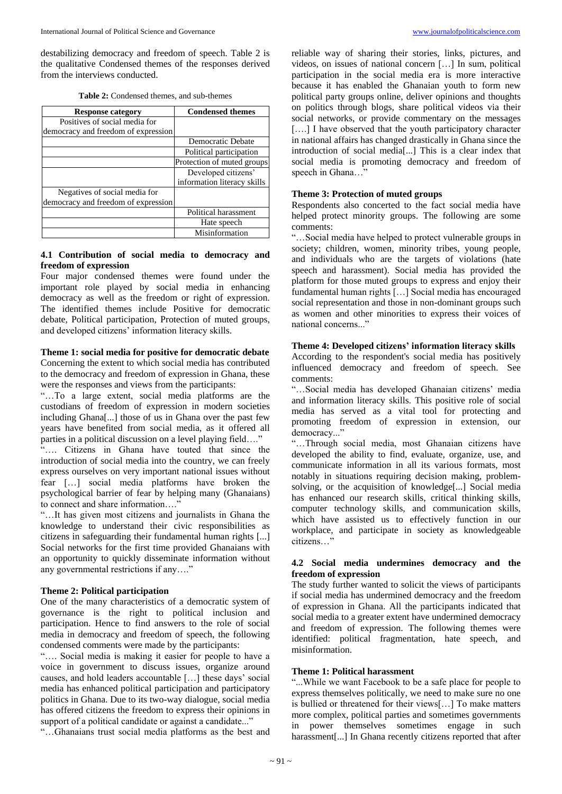destabilizing democracy and freedom of speech. Table 2 is the qualitative Condensed themes of the responses derived from the interviews conducted.

| <b>Table 2:</b> Condensed themes, and sub-themes |  |  |  |
|--------------------------------------------------|--|--|--|
|--------------------------------------------------|--|--|--|

| <b>Response category</b>            | <b>Condensed themes</b>     |
|-------------------------------------|-----------------------------|
| Positives of social media for       |                             |
| democracy and freedom of expression |                             |
|                                     | Democratic Debate           |
|                                     | Political participation     |
|                                     | Protection of muted groups  |
|                                     | Developed citizens'         |
|                                     | information literacy skills |
| Negatives of social media for       |                             |
| democracy and freedom of expression |                             |
|                                     | Political harassment        |
|                                     | Hate speech                 |
|                                     | Misinformation              |

# **4.1 Contribution of social media to democracy and freedom of expression**

Four major condensed themes were found under the important role played by social media in enhancing democracy as well as the freedom or right of expression. The identified themes include Positive for democratic debate, Political participation, Protection of muted groups, and developed citizens' information literacy skills.

#### **Theme 1: social media for positive for democratic debate**

Concerning the extent to which social media has contributed to the democracy and freedom of expression in Ghana, these were the responses and views from the participants:

"…To a large extent, social media platforms are the custodians of freedom of expression in modern societies including Ghana[...] those of us in Ghana over the past few years have benefited from social media, as it offered all parties in a political discussion on a level playing field...."

"…. Citizens in Ghana have touted that since the introduction of social media into the country, we can freely express ourselves on very important national issues without fear […] social media platforms have broken the psychological barrier of fear by helping many (Ghanaians) to connect and share information…."

"…It has given most citizens and journalists in Ghana the knowledge to understand their civic responsibilities as citizens in safeguarding their fundamental human rights [...] Social networks for the first time provided Ghanaians with an opportunity to quickly disseminate information without any governmental restrictions if any…."

# **Theme 2: Political participation**

One of the many characteristics of a democratic system of governance is the right to political inclusion and participation. Hence to find answers to the role of social media in democracy and freedom of speech, the following condensed comments were made by the participants:

"…. Social media is making it easier for people to have a voice in government to discuss issues, organize around causes, and hold leaders accountable […] these days' social media has enhanced political participation and participatory politics in Ghana. Due to its two-way dialogue, social media has offered citizens the freedom to express their opinions in support of a political candidate or against a candidate..."

"…Ghanaians trust social media platforms as the best and

reliable way of sharing their stories, links, pictures, and videos, on issues of national concern […] In sum, political participation in the social media era is more interactive because it has enabled the Ghanaian youth to form new political party groups online, deliver opinions and thoughts on politics through blogs, share political videos via their social networks, or provide commentary on the messages [....] I have observed that the youth participatory character in national affairs has changed drastically in Ghana since the introduction of social media[...] This is a clear index that social media is promoting democracy and freedom of speech in Ghana..."

## **Theme 3: Protection of muted groups**

Respondents also concerted to the fact social media have helped protect minority groups. The following are some comments:

"…Social media have helped to protect vulnerable groups in society; children, women, minority tribes, young people, and individuals who are the targets of violations (hate speech and harassment). Social media has provided the platform for those muted groups to express and enjoy their fundamental human rights […] Social media has encouraged social representation and those in non-dominant groups such as women and other minorities to express their voices of national concerns..."

# **Theme 4: Developed citizens' information literacy skills**

According to the respondent's social media has positively influenced democracy and freedom of speech. See comments:

"…Social media has developed Ghanaian citizens' media and information literacy skills. This positive role of social media has served as a vital tool for protecting and promoting freedom of expression in extension, our democracy..."

"…Through social media, most Ghanaian citizens have developed the ability to find, evaluate, organize, use, and communicate information in all its various formats, most notably in situations requiring decision making, problemsolving, or the acquisition of knowledge[...] Social media has enhanced our research skills, critical thinking skills, computer technology skills, and communication skills, which have assisted us to effectively function in our workplace, and participate in society as knowledgeable citizens…"

## **4.2 Social media undermines democracy and the freedom of expression**

The study further wanted to solicit the views of participants if social media has undermined democracy and the freedom of expression in Ghana. All the participants indicated that social media to a greater extent have undermined democracy and freedom of expression. The following themes were identified: political fragmentation, hate speech, and misinformation.

# **Theme 1: Political harassment**

"...While we want Facebook to be a safe place for people to express themselves politically, we need to make sure no one is bullied or threatened for their views[…] To make matters more complex, political parties and sometimes governments in power themselves sometimes engage in such harassment[...] In Ghana recently citizens reported that after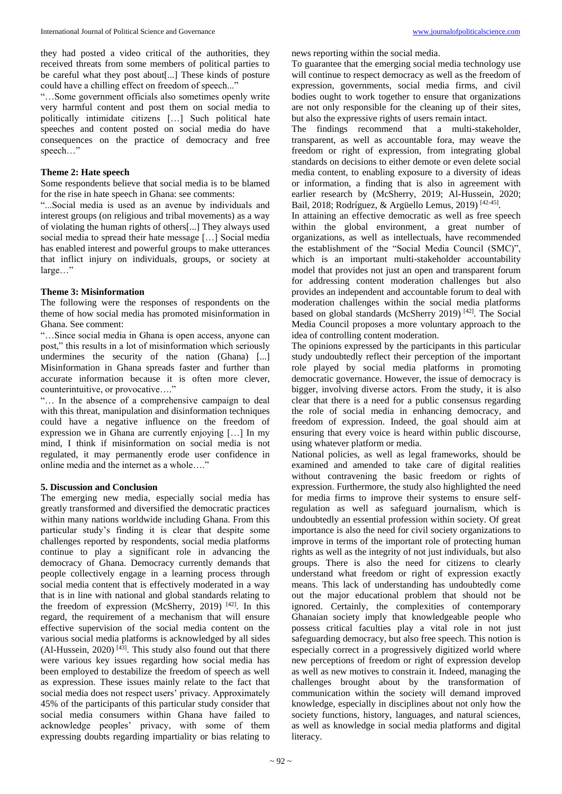"…Some government officials also sometimes openly write very harmful content and post them on social media to politically intimidate citizens […] Such political hate speeches and content posted on social media do have consequences on the practice of democracy and free speech…"

# **Theme 2: Hate speech**

Some respondents believe that social media is to be blamed for the rise in hate speech in Ghana: see comments:

"...Social media is used as an avenue by individuals and interest groups (on religious and tribal movements) as a way of violating the human rights of others[...] They always used social media to spread their hate message […] Social media has enabled interest and powerful groups to make utterances that inflict injury on individuals, groups, or society at large…"

# **Theme 3: Misinformation**

The following were the responses of respondents on the theme of how social media has promoted misinformation in Ghana. See comment:

"…Since social media in Ghana is open access, anyone can post," this results in a lot of misinformation which seriously undermines the security of the nation (Ghana) [...] Misinformation in Ghana spreads faster and further than accurate information because it is often more clever, counterintuitive, or provocative…."

"… In the absence of a comprehensive campaign to deal with this threat, manipulation and disinformation techniques could have a negative influence on the freedom of expression we in Ghana are currently enjoying […] In my mind, I think if misinformation on social media is not regulated, it may permanently erode user confidence in online media and the internet as a whole…."

# **5. Discussion and Conclusion**

The emerging new media, especially social media has greatly transformed and diversified the democratic practices within many nations worldwide including Ghana. From this particular study's finding it is clear that despite some challenges reported by respondents, social media platforms continue to play a significant role in advancing the democracy of Ghana. Democracy currently demands that people collectively engage in a learning process through social media content that is effectively moderated in a way that is in line with national and global standards relating to the freedom of expression (McSherry, 2019)  $[42]$ . In this regard, the requirement of a mechanism that will ensure effective supervision of the social media content on the various social media platforms is acknowledged by all sides  $(Al-Hussein, 2020)$ <sup>[43]</sup>. This study also found out that there were various key issues regarding how social media has been employed to destabilize the freedom of speech as well as expression. These issues mainly relate to the fact that social media does not respect users' privacy. Approximately 45% of the participants of this particular study consider that social media consumers within Ghana have failed to acknowledge peoples' privacy, with some of them expressing doubts regarding impartiality or bias relating to

news reporting within the social media.

To guarantee that the emerging social media technology use will continue to respect democracy as well as the freedom of expression, governments, social media firms, and civil bodies ought to work together to ensure that organizations are not only responsible for the cleaning up of their sites, but also the expressive rights of users remain intact.

The findings recommend that a multi-stakeholder, transparent, as well as accountable fora, may weave the freedom or right of expression, from integrating global standards on decisions to either demote or even delete social media content, to enabling exposure to a diversity of ideas or information, a finding that is also in agreement with earlier research by (McSherry, 2019; Al-Hussein, 2020; Bail, 2018; Rodríguez, & Argüello Lemus, 2019)<sup>[42-45]</sup>.

In attaining an effective democratic as well as free speech within the global environment, a great number of organizations, as well as intellectuals, have recommended the establishment of the "Social Media Council (SMC)", which is an important multi-stakeholder accountability model that provides not just an open and transparent forum for addressing content moderation challenges but also provides an independent and accountable forum to deal with moderation challenges within the social media platforms based on global standards (McSherry 2019)<sup>[42]</sup>. The Social Media Council proposes a more voluntary approach to the idea of controlling content moderation.

The opinions expressed by the participants in this particular study undoubtedly reflect their perception of the important role played by social media platforms in promoting democratic governance. However, the issue of democracy is bigger, involving diverse actors. From the study, it is also clear that there is a need for a public consensus regarding the role of social media in enhancing democracy, and freedom of expression. Indeed, the goal should aim at ensuring that every voice is heard within public discourse, using whatever platform or media.

National policies, as well as legal frameworks, should be examined and amended to take care of digital realities without contravening the basic freedom or rights of expression. Furthermore, the study also highlighted the need for media firms to improve their systems to ensure selfregulation as well as safeguard journalism, which is undoubtedly an essential profession within society. Of great importance is also the need for civil society organizations to improve in terms of the important role of protecting human rights as well as the integrity of not just individuals, but also groups. There is also the need for citizens to clearly understand what freedom or right of expression exactly means. This lack of understanding has undoubtedly come out the major educational problem that should not be ignored. Certainly, the complexities of contemporary Ghanaian society imply that knowledgeable people who possess critical faculties play a vital role in not just safeguarding democracy, but also free speech. This notion is especially correct in a progressively digitized world where new perceptions of freedom or right of expression develop as well as new motives to constrain it. Indeed, managing the challenges brought about by the transformation of communication within the society will demand improved knowledge, especially in disciplines about not only how the society functions, history, languages, and natural sciences, as well as knowledge in social media platforms and digital literacy.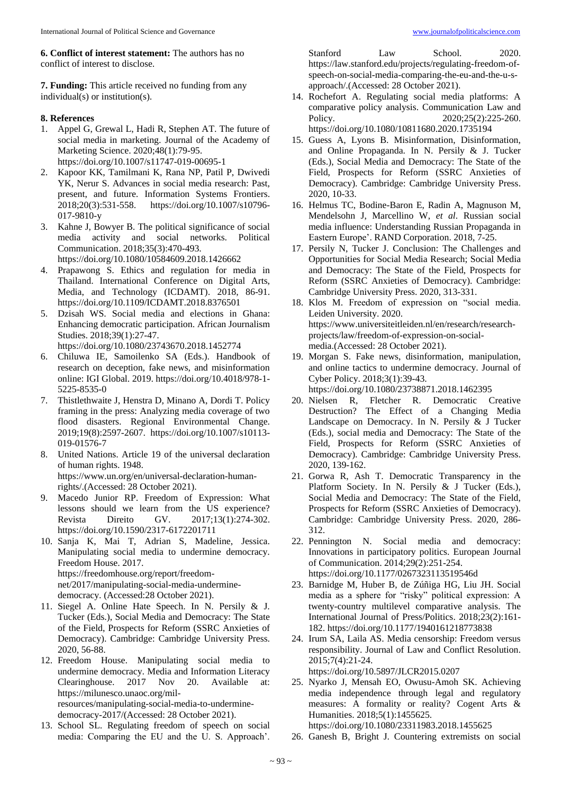**6. Conflict of interest statement:** The authors has no conflict of interest to disclose.

**7. Funding:** This article received no funding from any individual(s) or institution(s).

# **8. References**

- 1. Appel G, Grewal L, Hadi R, Stephen AT. The future of social media in marketing. Journal of the Academy of Marketing Science. 2020;48(1):79-95. https://doi.org/10.1007/s11747-019-00695-1
- 2. Kapoor KK, Tamilmani K, Rana NP, Patil P, Dwivedi YK, Nerur S. Advances in social media research: Past, present, and future. Information Systems Frontiers. 2018;20(3):531-558. https://doi.org/10.1007/s10796- 017-9810-y
- 3. Kahne J, Bowyer B. The political significance of social media activity and social networks. Political Communication. 2018;35(3):470-493. https://doi.org/10.1080/10584609.2018.1426662
- Prapawong S. Ethics and regulation for media in Thailand. International Conference on Digital Arts, Media, and Technology (ICDAMT). 2018, 86-91. https://doi.org/10.1109/ICDAMT.2018.8376501
- 5. Dzisah WS. Social media and elections in Ghana: Enhancing democratic participation. African Journalism Studies. 2018;39(1):27-47.
- https://doi.org/10.1080/23743670.2018.1452774 6. Chiluwa IE, Samoilenko SA (Eds.). Handbook of research on deception, fake news, and misinformation online: IGI Global. 2019. https://doi.org/10.4018/978-1-
- 5225-8535-0 7. Thistlethwaite J, Henstra D, Minano A, Dordi T. Policy framing in the press: Analyzing media coverage of two
- flood disasters. Regional Environmental Change. 2019;19(8):2597-2607. https://doi.org/10.1007/s10113- 019-01576-7
- 8. United Nations. Article 19 of the universal declaration of human rights. 1948. https://www.un.org/en/universal-declaration-humanrights/.(Accessed: 28 October 2021).
- 9. Macedo Junior RP. Freedom of Expression: What lessons should we learn from the US experience? Revista Direito GV. 2017;13(1):274-302. https://doi.org/10.1590/2317-6172201711
- 10. Sanja K, Mai T, Adrian S, Madeline, Jessica. Manipulating social media to undermine democracy. Freedom House. 2017. https://freedomhouse.org/report/freedomnet/2017/manipulating-social-media-underminedemocracy. (Accessed:28 October 2021).
- 11. Siegel A. Online Hate Speech. In N. Persily & J. Tucker (Eds.), Social Media and Democracy: The State of the Field, Prospects for Reform (SSRC Anxieties of Democracy). Cambridge: Cambridge University Press. 2020, 56-88.
- 12. Freedom House. Manipulating social media to undermine democracy. Media and Information Literacy Clearinghouse. 2017 Nov 20. Available at: https://milunesco.unaoc.org/milresources/manipulating-social-media-to-underminedemocracy-2017/(Accessed: 28 October 2021).
- 13. School SL. Regulating freedom of speech on social media: Comparing the EU and the U. S. Approach'.

Stanford Law School. 2020. https://law.stanford.edu/projects/regulating-freedom-ofspeech-on-social-media-comparing-the-eu-and-the-u-sapproach/.(Accessed: 28 October 2021).

- 14. Rochefort A. Regulating social media platforms: A comparative policy analysis. Communication Law and Policy. 2020;25(2):225-260. https://doi.org/10.1080/10811680.2020.1735194
- 15. Guess A, Lyons B. Misinformation, Disinformation, and Online Propaganda. In N. Persily & J. Tucker (Eds.), Social Media and Democracy: The State of the Field, Prospects for Reform (SSRC Anxieties of Democracy). Cambridge: Cambridge University Press. 2020, 10-33.
- 16. Helmus TC, Bodine-Baron E, Radin A, Magnuson M, Mendelsohn J, Marcellino W, *et al*. Russian social media influence: Understanding Russian Propaganda in Eastern Europe'. RAND Corporation. 2018, 7-25.
- 17. Persily N, Tucker J. Conclusion: The Challenges and Opportunities for Social Media Research; Social Media and Democracy: The State of the Field, Prospects for Reform (SSRC Anxieties of Democracy). Cambridge: Cambridge University Press. 2020, 313-331.
- 18. Klos M. Freedom of expression on "social media. Leiden University. 2020. https://www.universiteitleiden.nl/en/research/researchprojects/law/freedom-of-expression-on-socialmedia.(Accessed: 28 October 2021).
- 19. Morgan S. Fake news, disinformation, manipulation, and online tactics to undermine democracy. Journal of Cyber Policy. 2018;3(1):39-43. https://doi.org/10.1080/23738871.2018.1462395
- 20. Nielsen R, Fletcher R. Democratic Creative Destruction? The Effect of a Changing Media Landscape on Democracy. In N. Persily & J Tucker (Eds.), social media and Democracy: The State of the Field, Prospects for Reform (SSRC Anxieties of Democracy). Cambridge: Cambridge University Press. 2020, 139-162.
- 21. Gorwa R, Ash T. Democratic Transparency in the Platform Society. In N. Persily & J Tucker (Eds.), Social Media and Democracy: The State of the Field, Prospects for Reform (SSRC Anxieties of Democracy). Cambridge: Cambridge University Press. 2020, 286- 312.
- 22. Pennington N. Social media and democracy: Innovations in participatory politics. European Journal of Communication. 2014;29(2):251-254. https://doi.org/10.1177/0267323113519546d
- 23. Barnidge M, Huber B, de Zúñiga HG, Liu JH. Social media as a sphere for "risky" political expression: A twenty-country multilevel comparative analysis. The International Journal of Press/Politics. 2018;23(2):161- 182. https://doi.org/10.1177/1940161218773838
- 24. Irum SA, Laila AS. Media censorship: Freedom versus responsibility. Journal of Law and Conflict Resolution. 2015;7(4):21-24. https://doi.org/10.5897/JLCR2015.0207
- 25. Nyarko J, Mensah EO, Owusu-Amoh SK. Achieving media independence through legal and regulatory measures: A formality or reality? Cogent Arts & Humanities. 2018;5(1):1455625.

https://doi.org/10.1080/23311983.2018.1455625

26. Ganesh B, Bright J. Countering extremists on social